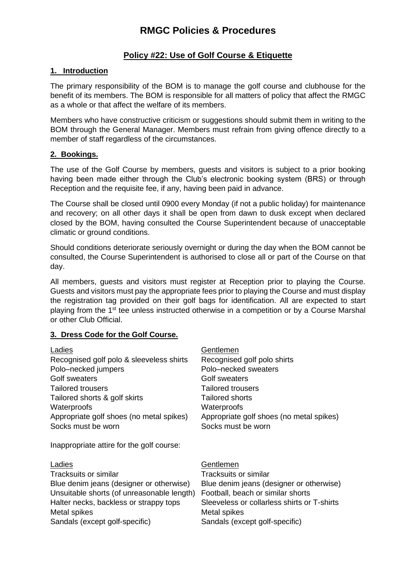# **Policy #22: Use of Golf Course & Etiquette**

### **1. Introduction**

The primary responsibility of the BOM is to manage the golf course and clubhouse for the benefit of its members. The BOM is responsible for all matters of policy that affect the RMGC as a whole or that affect the welfare of its members.

Members who have constructive criticism or suggestions should submit them in writing to the BOM through the General Manager. Members must refrain from giving offence directly to a member of staff regardless of the circumstances.

#### **2. Bookings.**

The use of the Golf Course by members, guests and visitors is subject to a prior booking having been made either through the Club's electronic booking system (BRS) or through Reception and the requisite fee, if any, having been paid in advance.

The Course shall be closed until 0900 every Monday (if not a public holiday) for maintenance and recovery; on all other days it shall be open from dawn to dusk except when declared closed by the BOM, having consulted the Course Superintendent because of unacceptable climatic or ground conditions.

Should conditions deteriorate seriously overnight or during the day when the BOM cannot be consulted, the Course Superintendent is authorised to close all or part of the Course on that day.

All members, guests and visitors must register at Reception prior to playing the Course. Guests and visitors must pay the appropriate fees prior to playing the Course and must display the registration tag provided on their golf bags for identification. All are expected to start playing from the 1<sup>st</sup> tee unless instructed otherwise in a competition or by a Course Marshal or other Club Official.

### **3. Dress Code for the Golf Course.**

| Ladies                                     | Gentlemen                                   |
|--------------------------------------------|---------------------------------------------|
| Recognised golf polo & sleeveless shirts   | Recognised golf polo shirts                 |
| Polo-necked jumpers                        | Polo–necked sweaters                        |
| Golf sweaters                              | Golf sweaters                               |
| <b>Tailored trousers</b>                   | <b>Tailored trousers</b>                    |
| Tailored shorts & golf skirts              | <b>Tailored shorts</b>                      |
| Waterproofs                                | Waterproofs                                 |
| Appropriate golf shoes (no metal spikes)   | Appropriate golf shoes (no metal spikes)    |
| Socks must be worn                         | Socks must be worn                          |
| Inappropriate attire for the golf course:  |                                             |
| Ladies                                     | Gentlemen                                   |
| Tracksuits or similar                      | Tracksuits or similar                       |
| Blue denim jeans (designer or otherwise)   | Blue denim jeans (designer or otherwise)    |
| Unsuitable shorts (of unreasonable length) | Football, beach or similar shorts           |
| Halter necks, backless or strappy tops     | Sleeveless or collarless shirts or T-shirts |
| Metal spikes                               | Metal spikes                                |
| Sandals (except golf-specific)             | Sandals (except golf-specific)              |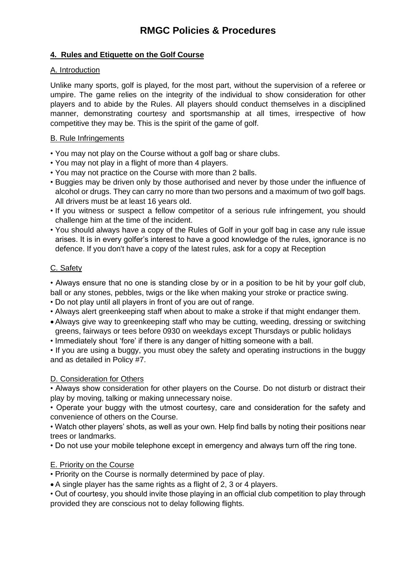# **4. Rules and Etiquette on the Golf Course**

### A. Introduction

Unlike many sports, golf is played, for the most part, without the supervision of a referee or umpire. The game relies on the integrity of the individual to show consideration for other players and to abide by the Rules. All players should conduct themselves in a disciplined manner, demonstrating courtesy and sportsmanship at all times, irrespective of how competitive they may be. This is the spirit of the game of golf.

### B. Rule Infringements

- You may not play on the Course without a golf bag or share clubs.
- You may not play in a flight of more than 4 players.
- You may not practice on the Course with more than 2 balls.
- Buggies may be driven only by those authorised and never by those under the influence of alcohol or drugs. They can carry no more than two persons and a maximum of two golf bags. All drivers must be at least 16 years old.
- If you witness or suspect a fellow competitor of a serious rule infringement, you should challenge him at the time of the incident.
- You should always have a copy of the Rules of Golf in your golf bag in case any rule issue arises. It is in every golfer's interest to have a good knowledge of the rules, ignorance is no defence. If you don't have a copy of the latest rules, ask for a copy at Reception

### C. Safety

• Always ensure that no one is standing close by or in a position to be hit by your golf club, ball or any stones, pebbles, twigs or the like when making your stroke or practice swing.

- Do not play until all players in front of you are out of range.
- Always alert greenkeeping staff when about to make a stroke if that might endanger them.
- Always give way to greenkeeping staff who may be cutting, weeding, dressing or switching greens, fairways or tees before 0930 on weekdays except Thursdays or public holidays
- Immediately shout 'fore' if there is any danger of hitting someone with a ball.

• If you are using a buggy, you must obey the safety and operating instructions in the buggy and as detailed in Policy #7.

#### D. Consideration for Others

• Always show consideration for other players on the Course. Do not disturb or distract their play by moving, talking or making unnecessary noise.

• Operate your buggy with the utmost courtesy, care and consideration for the safety and convenience of others on the Course.

• Watch other players' shots, as well as your own. Help find balls by noting their positions near trees or landmarks.

• Do not use your mobile telephone except in emergency and always turn off the ring tone.

### E. Priority on the Course

• Priority on the Course is normally determined by pace of play.

• A single player has the same rights as a flight of 2, 3 or 4 players.

• Out of courtesy, you should invite those playing in an official club competition to play through provided they are conscious not to delay following flights.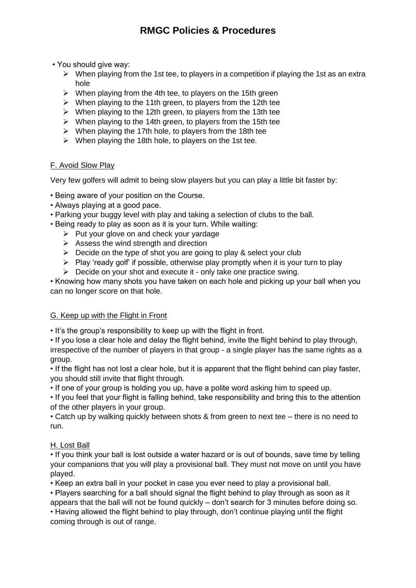• You should give way:

- $\triangleright$  When playing from the 1st tee, to players in a competition if playing the 1st as an extra hole
- $\triangleright$  When playing from the 4th tee, to players on the 15th green
- ➢ When playing to the 11th green, to players from the 12th tee
- $\triangleright$  When playing to the 12th green, to players from the 13th tee
- $\triangleright$  When playing to the 14th green, to players from the 15th tee
- $\triangleright$  When playing the 17th hole, to players from the 18th tee
- $\triangleright$  When playing the 18th hole, to players on the 1st tee.

### F. Avoid Slow Play

Very few golfers will admit to being slow players but you can play a little bit faster by:

- Being aware of your position on the Course.
- Always playing at a good pace.
- Parking your buggy level with play and taking a selection of clubs to the ball.
- Being ready to play as soon as it is your turn. While waiting:
	- $\triangleright$  Put your glove on and check your yardage
	- $\triangleright$  Assess the wind strength and direction
	- $\triangleright$  Decide on the type of shot you are going to play & select your club
	- $\triangleright$  Play 'ready golf' if possible, otherwise play promptly when it is your turn to play
	- $\triangleright$  Decide on your shot and execute it only take one practice swing.

• Knowing how many shots you have taken on each hole and picking up your ball when you can no longer score on that hole.

### G. Keep up with the Flight in Front

• It's the group's responsibility to keep up with the flight in front.

• If you lose a clear hole and delay the flight behind, invite the flight behind to play through, irrespective of the number of players in that group - a single player has the same rights as a group.

• If the flight has not lost a clear hole, but it is apparent that the flight behind can play faster, you should still invite that flight through.

• If one of your group is holding you up, have a polite word asking him to speed up.

• If you feel that your flight is falling behind, take responsibility and bring this to the attention of the other players in your group.

• Catch up by walking quickly between shots & from green to next tee – there is no need to run.

# H. Lost Ball

• If you think your ball is lost outside a water hazard or is out of bounds, save time by telling your companions that you will play a provisional ball. They must not move on until you have played.

• Keep an extra ball in your pocket in case you ever need to play a provisional ball.

• Players searching for a ball should signal the flight behind to play through as soon as it appears that the ball will not be found quickly – don't search for 3 minutes before doing so. • Having allowed the flight behind to play through, don't continue playing until the flight coming through is out of range.